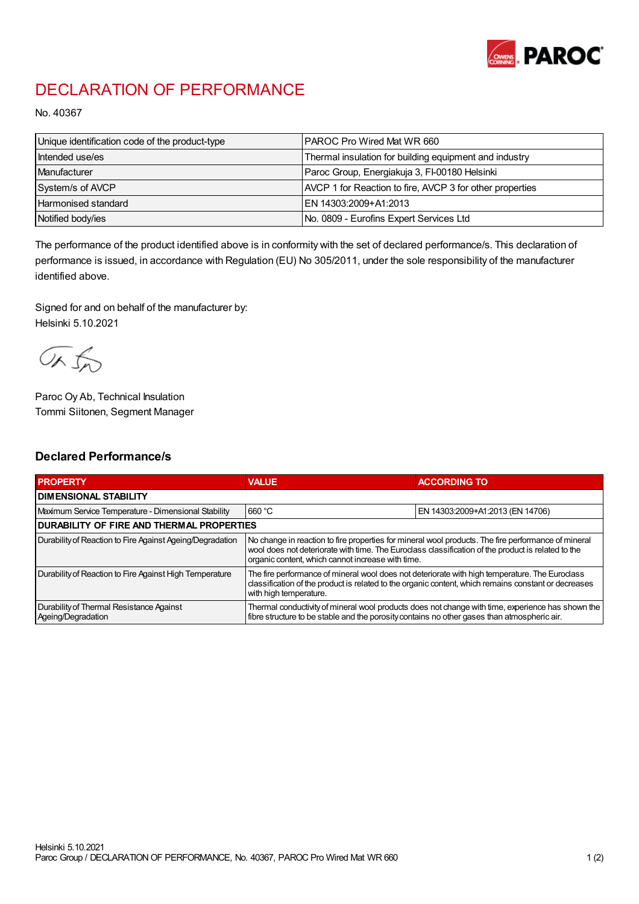

## DECLARATION OF PERFORMANCE

No. 40367

| Unique identification code of the product-type | I PAROC Pro Wired Mat WR 660                             |
|------------------------------------------------|----------------------------------------------------------|
| Intended use/es                                | Thermal insulation for building equipment and industry   |
| Manufacturer                                   | Paroc Group, Energiakuja 3, FI-00180 Helsinki            |
| System/s of AVCP                               | AVCP 1 for Reaction to fire, AVCP 3 for other properties |
| <b>Harmonised standard</b>                     | EN 14303:2009+A1:2013                                    |
| Notified body/ies                              | No. 0809 - Eurofins Expert Services Ltd                  |

The performance of the product identified above is in conformity with the set of declared performance/s. This declaration of performance is issued, in accordance with Regulation (EU) No 305/2011, under the sole responsibility of the manufacturer identified above.

Signed for and on behalf of the manufacturer by: Helsinki 5.10.2021

ORJO

Paroc Oy Ab, Technical Insulation Tommi Siitonen, Segment Manager

## Declared Performance/s

| <b>PROPERTY</b>                                                | <b>VALUE</b>                                                                                                                                                                                                                                                   | <b>ACCORDING TO</b>              |  |
|----------------------------------------------------------------|----------------------------------------------------------------------------------------------------------------------------------------------------------------------------------------------------------------------------------------------------------------|----------------------------------|--|
| <b>I DIMENSIONAL STABILITY</b>                                 |                                                                                                                                                                                                                                                                |                                  |  |
| Maximum Service Temperature - Dimensional Stability            | 660 °C                                                                                                                                                                                                                                                         | EN 14303:2009+A1:2013 (EN 14706) |  |
| <b>DURABILITY OF FIRE AND THERMAL PROPERTIES</b>               |                                                                                                                                                                                                                                                                |                                  |  |
| Durability of Reaction to Fire Against Ageing/Degradation      | No change in reaction to fire properties for mineral wool products. The fire performance of mineral<br>wool does not deteriorate with time. The Euroclass classification of the product is related to the<br>organic content, which cannot increase with time. |                                  |  |
| Durability of Reaction to Fire Against High Temperature        | The fire performance of mineral wool does not deteriorate with high temperature. The Euroclass<br>classification of the product is related to the organic content, which remains constant or decreases<br>with high temperature.                               |                                  |  |
| Durability of Thermal Resistance Against<br>Ageing/Degradation | Thermal conductivity of mineral wool products does not change with time, experience has shown the<br>fibre structure to be stable and the porosity contains no other gases than atmospheric air.                                                               |                                  |  |